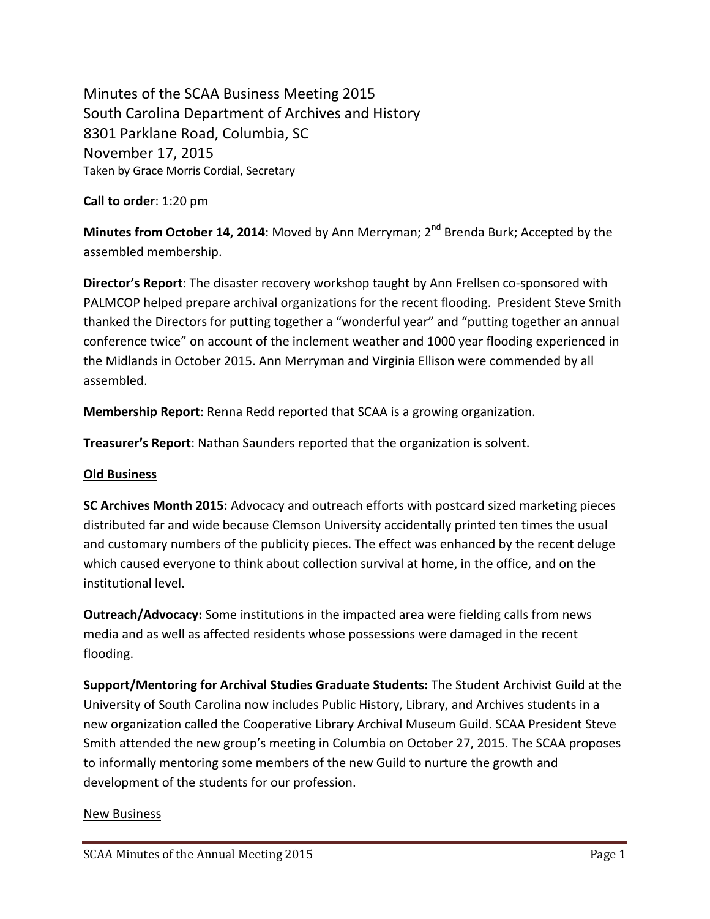Minutes of the SCAA Business Meeting 2015 South Carolina Department of Archives and History 8301 Parklane Road, Columbia, SC November 17, 2015 Taken by Grace Morris Cordial, Secretary

**Call to order**: 1:20 pm

**Minutes from October 14, 2014**: Moved by Ann Merryman; 2<sup>nd</sup> Brenda Burk; Accepted by the assembled membership.

**Director's Report**: The disaster recovery workshop taught by Ann Frellsen co-sponsored with PALMCOP helped prepare archival organizations for the recent flooding. President Steve Smith thanked the Directors for putting together a "wonderful year" and "putting together an annual conference twice" on account of the inclement weather and 1000 year flooding experienced in the Midlands in October 2015. Ann Merryman and Virginia Ellison were commended by all assembled.

**Membership Report**: Renna Redd reported that SCAA is a growing organization.

**Treasurer's Report**: Nathan Saunders reported that the organization is solvent.

## **Old Business**

**SC Archives Month 2015:** Advocacy and outreach efforts with postcard sized marketing pieces distributed far and wide because Clemson University accidentally printed ten times the usual and customary numbers of the publicity pieces. The effect was enhanced by the recent deluge which caused everyone to think about collection survival at home, in the office, and on the institutional level.

**Outreach/Advocacy:** Some institutions in the impacted area were fielding calls from news media and as well as affected residents whose possessions were damaged in the recent flooding.

**Support/Mentoring for Archival Studies Graduate Students:** The Student Archivist Guild at the University of South Carolina now includes Public History, Library, and Archives students in a new organization called the Cooperative Library Archival Museum Guild. SCAA President Steve Smith attended the new group's meeting in Columbia on October 27, 2015. The SCAA proposes to informally mentoring some members of the new Guild to nurture the growth and development of the students for our profession.

## New Business